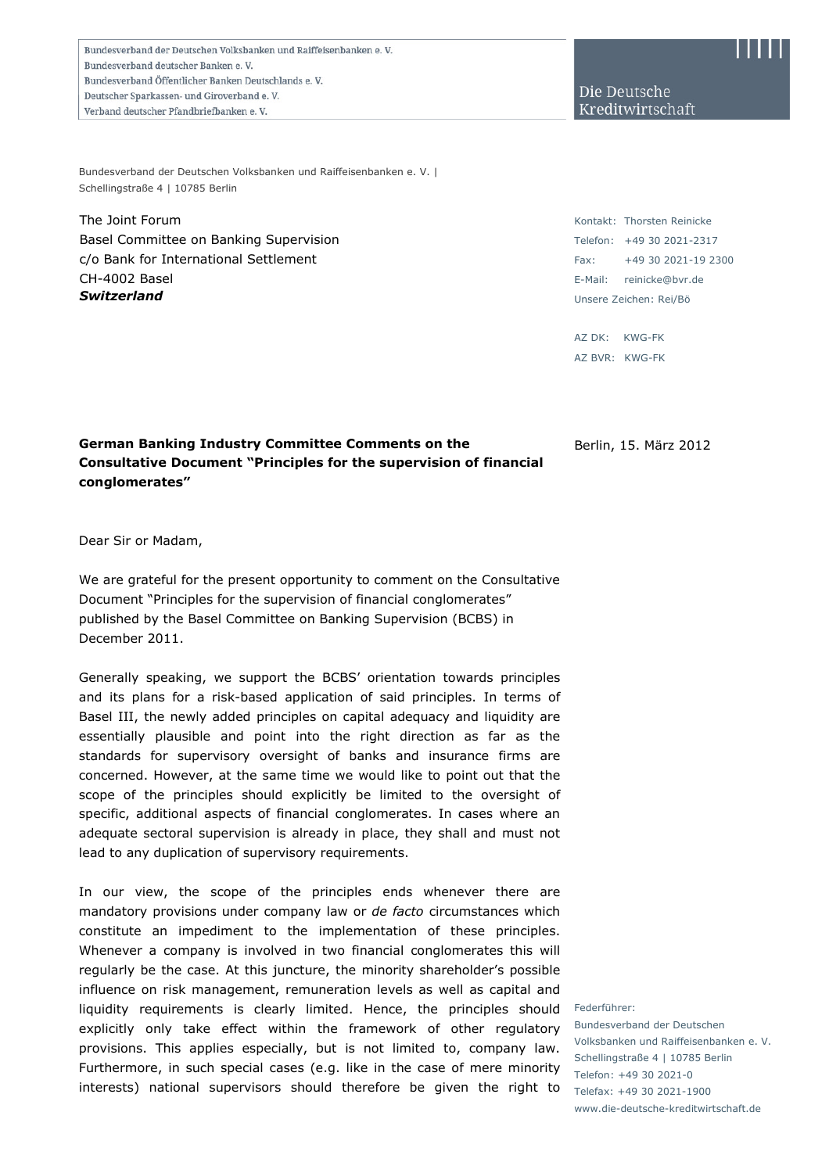Bundesverband der Deutschen Volksbanken und Raiffeisenbanken e. V. Bundesverband deutscher Banken e.V. Bundesverband Öffentlicher Banken Deutschlands e. V. Deutscher Sparkassen- und Giroverband e.V. Verband deutscher Pfandbriefbanken e.V.

Bundesverband der Deutschen Volksbanken und Raiffeisenbanken e. V. | Schellingstraße 4 | 10785 Berlin

The Joint Forum Basel Committee on Banking Supervision c/o Bank for International Settlement CH-4002 Basel *Switzerland*

Die Deutsche Kreditwirtschaft

Kontakt: Thorsten Reinicke Telefon: +49 30 2021-2317  $Fay: +49302021-192300$ E-Mail: reinicke@bvr.de Unsere Zeichen: Rei/Bö

AZ DK: KWG-FK AZ BVR: KWG-FK

**German Banking Industry Committee Comments on the Consultative Document "Principles for the supervision of financial conglomerates"** 

Berlin, 15. März 2012

Dear Sir or Madam,

We are grateful for the present opportunity to comment on the Consultative Document "Principles for the supervision of financial conglomerates" published by the Basel Committee on Banking Supervision (BCBS) in December 2011.

Generally speaking, we support the BCBS' orientation towards principles and its plans for a risk-based application of said principles. In terms of Basel III, the newly added principles on capital adequacy and liquidity are essentially plausible and point into the right direction as far as the standards for supervisory oversight of banks and insurance firms are concerned. However, at the same time we would like to point out that the scope of the principles should explicitly be limited to the oversight of specific, additional aspects of financial conglomerates. In cases where an adequate sectoral supervision is already in place, they shall and must not lead to any duplication of supervisory requirements.

In our view, the scope of the principles ends whenever there are mandatory provisions under company law or *de facto* circumstances which constitute an impediment to the implementation of these principles. Whenever a company is involved in two financial conglomerates this will regularly be the case. At this juncture, the minority shareholder's possible influence on risk management, remuneration levels as well as capital and liquidity requirements is clearly limited. Hence, the principles should explicitly only take effect within the framework of other regulatory provisions. This applies especially, but is not limited to, company law. Furthermore, in such special cases (e.g. like in the case of mere minority interests) national supervisors should therefore be given the right to

Federführer:

Bundesverband der Deutschen Volksbanken und Raiffeisenbanken e. V. Schellingstraße 4 | 10785 Berlin Telefon: +49 30 2021-0 Telefax: +49 30 2021-1900 www.die-deutsche-kreditwirtschaft.de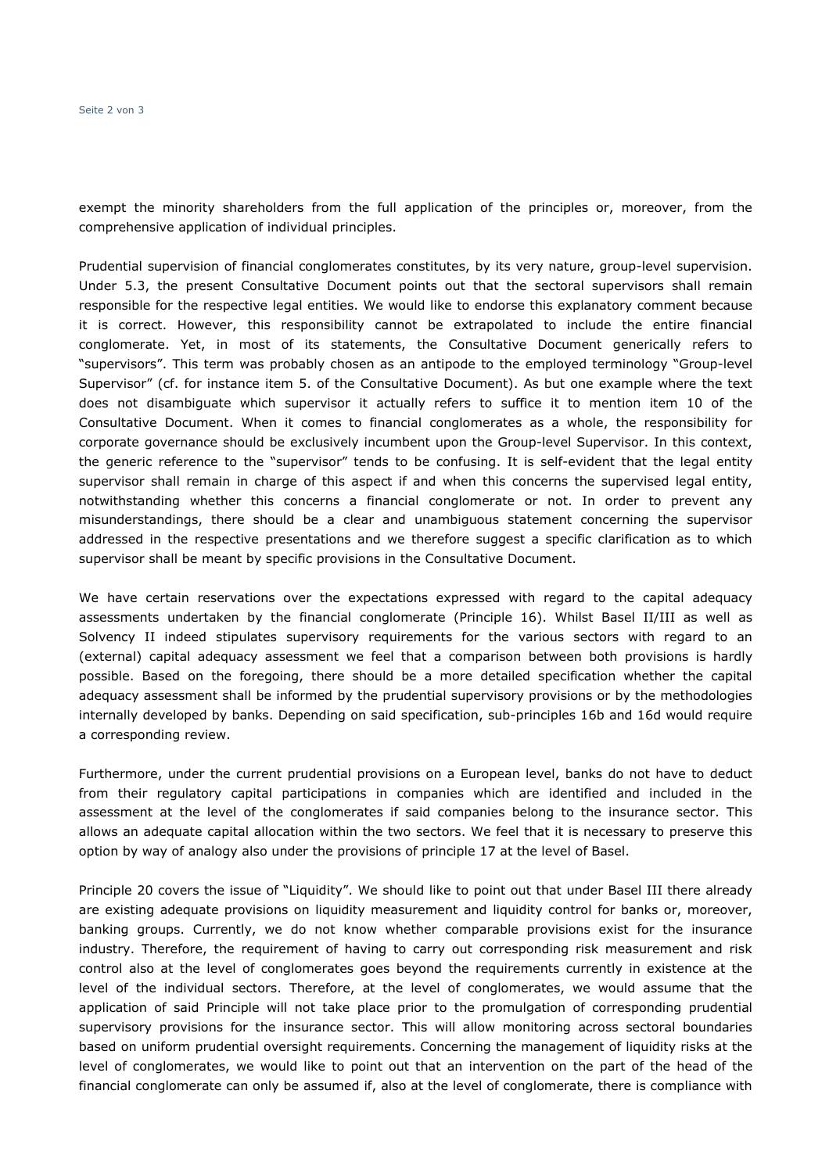exempt the minority shareholders from the full application of the principles or, moreover, from the comprehensive application of individual principles.

Prudential supervision of financial conglomerates constitutes, by its very nature, group-level supervision. Under 5.3, the present Consultative Document points out that the sectoral supervisors shall remain responsible for the respective legal entities. We would like to endorse this explanatory comment because it is correct. However, this responsibility cannot be extrapolated to include the entire financial conglomerate. Yet, in most of its statements, the Consultative Document generically refers to "supervisors". This term was probably chosen as an antipode to the employed terminology "Group-level Supervisor" (cf. for instance item 5. of the Consultative Document). As but one example where the text does not disambiguate which supervisor it actually refers to suffice it to mention item 10 of the Consultative Document. When it comes to financial conglomerates as a whole, the responsibility for corporate governance should be exclusively incumbent upon the Group-level Supervisor. In this context, the generic reference to the "supervisor" tends to be confusing. It is self-evident that the legal entity supervisor shall remain in charge of this aspect if and when this concerns the supervised legal entity, notwithstanding whether this concerns a financial conglomerate or not. In order to prevent any misunderstandings, there should be a clear and unambiguous statement concerning the supervisor addressed in the respective presentations and we therefore suggest a specific clarification as to which supervisor shall be meant by specific provisions in the Consultative Document.

We have certain reservations over the expectations expressed with regard to the capital adequacy assessments undertaken by the financial conglomerate (Principle 16). Whilst Basel II/III as well as Solvency II indeed stipulates supervisory requirements for the various sectors with regard to an (external) capital adequacy assessment we feel that a comparison between both provisions is hardly possible. Based on the foregoing, there should be a more detailed specification whether the capital adequacy assessment shall be informed by the prudential supervisory provisions or by the methodologies internally developed by banks. Depending on said specification, sub-principles 16b and 16d would require a corresponding review.

Furthermore, under the current prudential provisions on a European level, banks do not have to deduct from their regulatory capital participations in companies which are identified and included in the assessment at the level of the conglomerates if said companies belong to the insurance sector. This allows an adequate capital allocation within the two sectors. We feel that it is necessary to preserve this option by way of analogy also under the provisions of principle 17 at the level of Basel.

Principle 20 covers the issue of "Liquidity". We should like to point out that under Basel III there already are existing adequate provisions on liquidity measurement and liquidity control for banks or, moreover, banking groups. Currently, we do not know whether comparable provisions exist for the insurance industry. Therefore, the requirement of having to carry out corresponding risk measurement and risk control also at the level of conglomerates goes beyond the requirements currently in existence at the level of the individual sectors. Therefore, at the level of conglomerates, we would assume that the application of said Principle will not take place prior to the promulgation of corresponding prudential supervisory provisions for the insurance sector. This will allow monitoring across sectoral boundaries based on uniform prudential oversight requirements. Concerning the management of liquidity risks at the level of conglomerates, we would like to point out that an intervention on the part of the head of the financial conglomerate can only be assumed if, also at the level of conglomerate, there is compliance with